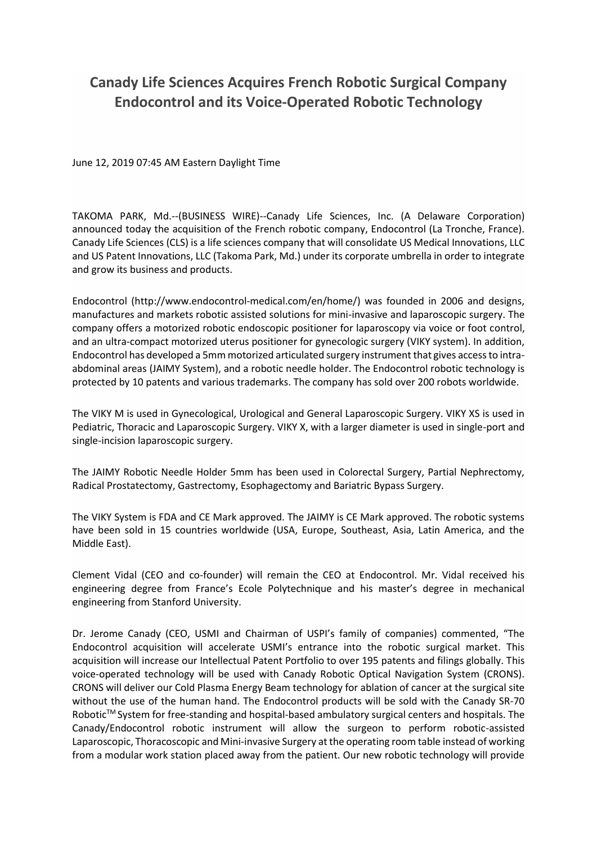## **Canady Life Sciences Acquires French Robotic Surgical Company Endocontrol and its Voice-Operated Robotic Technology**

June 12, 2019 07:45 AM Eastern Daylight Time

TAKOMA PARK, Md.--[\(BUSINESS WIRE\)](https://www.businesswire.com/)--Canady Life Sciences, Inc. (A Delaware Corporation) announced today the acquisition of the French robotic company, Endocontrol (La Tronche, France). Canady Life Sciences (CLS) is a life sciences company that will consolidate US Medical Innovations, LLC and US Patent Innovations, LLC (Takoma Park, Md.) under its corporate umbrella in order to integrate and grow its business and products.

Endocontrol [\(http://www.endocontrol-medical.com/en/home/\)](https://cts.businesswire.com/ct/CT?id=smartlink&url=http%3A%2F%2Fwww.endocontrol-medical.com%2Fen%2Fhome%2F&esheet=51998148&newsitemid=20190612005467&lan=en-US&anchor=http%3A%2F%2Fwww.endocontrol-medical.com%2Fen%2Fhome%2F&index=1&md5=68f455b22fe21034d6953083bc842e74) was founded in 2006 and designs, manufactures and markets robotic assisted solutions for mini-invasive and laparoscopic surgery. The company offers a motorized robotic endoscopic positioner for laparoscopy via voice or foot control, and an ultra-compact motorized uterus positioner for gynecologic surgery (VIKY system). In addition, Endocontrol has developed a 5mm motorized articulated surgery instrument that gives access to intraabdominal areas (JAIMY System), and a robotic needle holder. The Endocontrol robotic technology is protected by 10 patents and various trademarks. The company has sold over 200 robots worldwide.

The VIKY M is used in Gynecological, Urological and General Laparoscopic Surgery. VIKY XS is used in Pediatric, Thoracic and Laparoscopic Surgery. VIKY X, with a larger diameter is used in single-port and single-incision laparoscopic surgery.

The JAIMY Robotic Needle Holder 5mm has been used in Colorectal Surgery, Partial Nephrectomy, Radical Prostatectomy, Gastrectomy, Esophagectomy and Bariatric Bypass Surgery.

The VIKY System is FDA and CE Mark approved. The JAIMY is CE Mark approved. The robotic systems have been sold in 15 countries worldwide (USA, Europe, Southeast, Asia, Latin America, and the Middle East).

Clement Vidal (CEO and co-founder) will remain the CEO at Endocontrol. Mr. Vidal received his engineering degree from France's Ecole Polytechnique and his master's degree in mechanical engineering from Stanford University.

Dr. Jerome Canady (CEO, USMI and Chairman of USPI's family of companies) commented, "The Endocontrol acquisition will accelerate USMI's entrance into the robotic surgical market. This acquisition will increase our Intellectual Patent Portfolio to over 195 patents and filings globally. This voice-operated technology will be used with Canady Robotic Optical Navigation System (CRONS). CRONS will deliver our Cold Plasma Energy Beam technology for ablation of cancer at the surgical site without the use of the human hand. The Endocontrol products will be sold with the Canady SR-70 Robotic<sup>TM</sup> System for free-standing and hospital-based ambulatory surgical centers and hospitals. The Canady/Endocontrol robotic instrument will allow the surgeon to perform robotic-assisted Laparoscopic, Thoracoscopic and Mini-invasive Surgery at the operating room table instead of working from a modular work station placed away from the patient. Our new robotic technology will provide